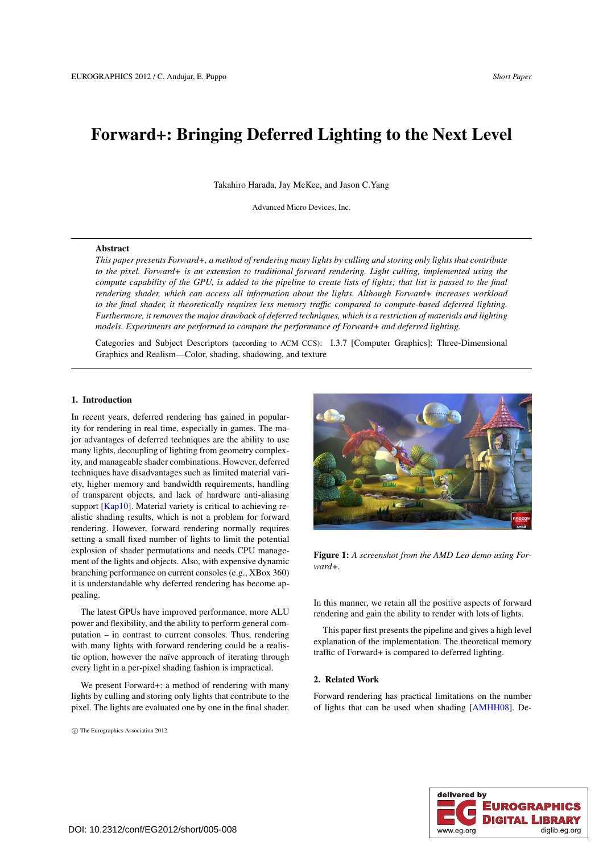# Forward+: Bringing Deferred Lighting to the Next Level

Takahiro Harada, Jay McKee, and Jason C.Yang

Advanced Micro Devices, Inc.

#### Abstract

*This paper presents Forward+, a method of rendering many lights by culling and storing only lights that contribute to the pixel. Forward+ is an extension to traditional forward rendering. Light culling, implemented using the compute capability of the GPU, is added to the pipeline to create lists of lights; that list is passed to the final rendering shader, which can access all information about the lights. Although Forward+ increases workload to the final shader, it theoretically requires less memory traffic compared to compute-based deferred lighting. Furthermore, it removes the major drawback of deferred techniques, which is a restriction of materials and lighting models. Experiments are performed to compare the performance of Forward+ and deferred lighting.*

Categories and Subject Descriptors (according to ACM CCS): I.3.7 [Computer Graphics]: Three-Dimensional Graphics and Realism—Color, shading, shadowing, and texture

# 1. Introduction

In recent years, deferred rendering has gained in popularity for rendering in real time, especially in games. The major advantages of deferred techniques are the ability to use many lights, decoupling of lighting from geometry complexity, and manageable shader combinations. However, deferred techniques have disadvantages such as limited material variety, higher memory and bandwidth requirements, handling of transparent objects, and lack of hardware anti-aliasing support [\[Kap10\]](#page-3-0). Material variety is critical to achieving realistic shading results, which is not a problem for forward rendering. However, forward rendering normally requires setting a small fixed number of lights to limit the potential explosion of shader permutations and needs CPU management of the lights and objects. Also, with expensive dynamic branching performance on current consoles (e.g., XBox 360) it is understandable why deferred rendering has become appealing.

The latest GPUs have improved performance, more ALU power and flexibility, and the ability to perform general computation – in contrast to current consoles. Thus, rendering with many lights with forward rendering could be a realistic option, however the naïve approach of iterating through every light in a per-pixel shading fashion is impractical.

We present Forward+: a method of rendering with many lights by culling and storing only lights that contribute to the pixel. The lights are evaluated one by one in the final shader.

c The Eurographics Association 2012.



Figure 1: *A screenshot from the AMD Leo demo using Forward+.*

<span id="page-0-0"></span>In this manner, we retain all the positive aspects of forward rendering and gain the ability to render with lots of lights.

This paper first presents the pipeline and gives a high level explanation of the implementation. The theoretical memory traffic of Forward+ is compared to deferred lighting.

# 2. Related Work

Forward rendering has practical limitations on the number of lights that can be used when shading [\[AMHH08\]](#page-3-1). De-

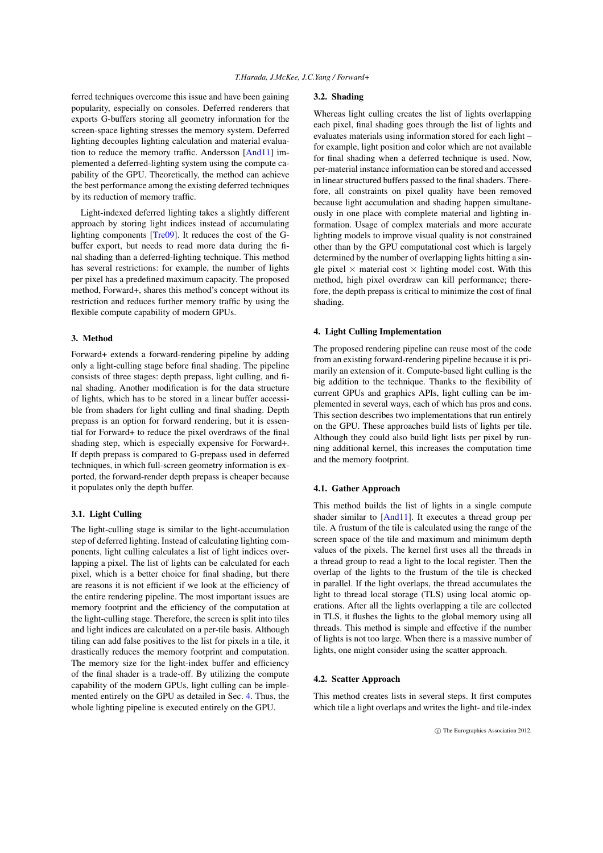<span id="page-1-1"></span>ferred techniques overcome this issue and have been gaining popularity, especially on consoles. Deferred renderers that exports G-buffers storing all geometry information for the screen-space lighting stresses the memory system. Deferred lighting decouples lighting calculation and material evaluation to reduce the memory traffic. Andersson [\[And11\]](#page-3-2) implemented a deferred-lighting system using the compute capability of the GPU. Theoretically, the method can achieve the best performance among the existing deferred techniques by its reduction of memory traffic.

Light-indexed deferred lighting takes a slightly different approach by storing light indices instead of accumulating lighting components [\[Tre09\]](#page-3-3). It reduces the cost of the Gbuffer export, but needs to read more data during the final shading than a deferred-lighting technique. This method has several restrictions: for example, the number of lights per pixel has a predefined maximum capacity. The proposed method, Forward+, shares this method's concept without its restriction and reduces further memory traffic by using the flexible compute capability of modern GPUs.

# 3. Method

Forward+ extends a forward-rendering pipeline by adding only a light-culling stage before final shading. The pipeline consists of three stages: depth prepass, light culling, and final shading. Another modification is for the data structure of lights, which has to be stored in a linear buffer accessible from shaders for light culling and final shading. Depth prepass is an option for forward rendering, but it is essential for Forward+ to reduce the pixel overdraws of the final shading step, which is especially expensive for Forward+. If depth prepass is compared to G-prepass used in deferred techniques, in which full-screen geometry information is exported, the forward-render depth prepass is cheaper because it populates only the depth buffer.

# 3.1. Light Culling

The light-culling stage is similar to the light-accumulation step of deferred lighting. Instead of calculating lighting components, light culling calculates a list of light indices overlapping a pixel. The list of lights can be calculated for each pixel, which is a better choice for final shading, but there are reasons it is not efficient if we look at the efficiency of the entire rendering pipeline. The most important issues are memory footprint and the efficiency of the computation at the light-culling stage. Therefore, the screen is split into tiles and light indices are calculated on a per-tile basis. Although tiling can add false positives to the list for pixels in a tile, it drastically reduces the memory footprint and computation. The memory size for the light-index buffer and efficiency of the final shader is a trade-off. By utilizing the compute capability of the modern GPUs, light culling can be implemented entirely on the GPU as detailed in Sec. [4.](#page-1-0) Thus, the whole lighting pipeline is executed entirely on the GPU.

# 3.2. Shading

Whereas light culling creates the list of lights overlapping each pixel, final shading goes through the list of lights and evaluates materials using information stored for each light – for example, light position and color which are not available for final shading when a deferred technique is used. Now, per-material instance information can be stored and accessed in linear structured buffers passed to the final shaders. Therefore, all constraints on pixel quality have been removed because light accumulation and shading happen simultaneously in one place with complete material and lighting information. Usage of complex materials and more accurate lighting models to improve visual quality is not constrained other than by the GPU computational cost which is largely determined by the number of overlapping lights hitting a single pixel  $\times$  material cost  $\times$  lighting model cost. With this method, high pixel overdraw can kill performance; therefore, the depth prepass is critical to minimize the cost of final shading.

#### <span id="page-1-0"></span>4. Light Culling Implementation

The proposed rendering pipeline can reuse most of the code from an existing forward-rendering pipeline because it is primarily an extension of it. Compute-based light culling is the big addition to the technique. Thanks to the flexibility of current GPUs and graphics APIs, light culling can be implemented in several ways, each of which has pros and cons. This section describes two implementations that run entirely on the GPU. These approaches build lists of lights per tile. Although they could also build light lists per pixel by running additional kernel, this increases the computation time and the memory footprint.

#### 4.1. Gather Approach

This method builds the list of lights in a single compute shader similar to [\[And11\]](#page-3-2). It executes a thread group per tile. A frustum of the tile is calculated using the range of the screen space of the tile and maximum and minimum depth values of the pixels. The kernel first uses all the threads in a thread group to read a light to the local register. Then the overlap of the lights to the frustum of the tile is checked in parallel. If the light overlaps, the thread accumulates the light to thread local storage (TLS) using local atomic operations. After all the lights overlapping a tile are collected in TLS, it flushes the lights to the global memory using all threads. This method is simple and effective if the number of lights is not too large. When there is a massive number of lights, one might consider using the scatter approach.

#### 4.2. Scatter Approach

This method creates lists in several steps. It first computes which tile a light overlaps and writes the light- and tile-index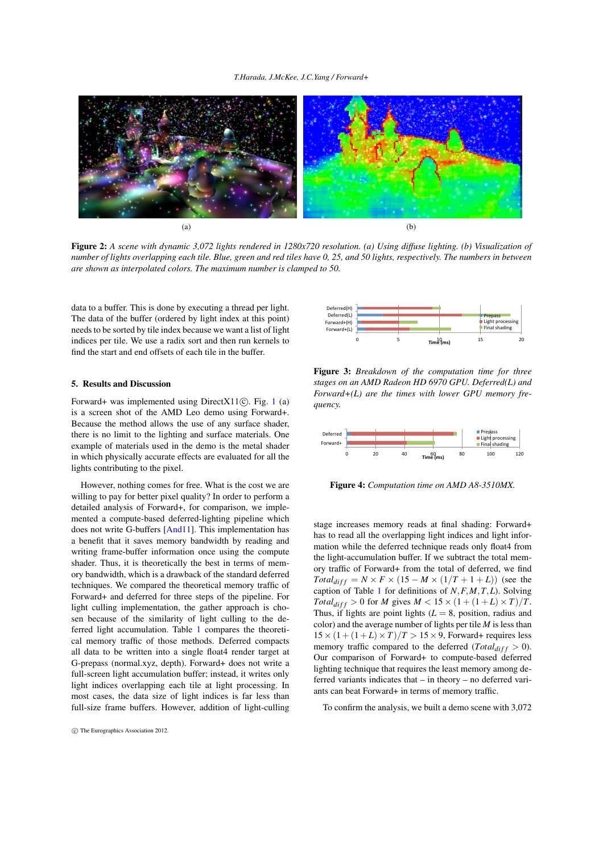### *T.Harada, J.McKee, J.C.Yang / Forward+*

<span id="page-2-3"></span>

Figure 2: *A scene with dynamic 3,072 lights rendered in 1280x720 resolution. (a) Using diffuse lighting. (b) Visualization of number of lights overlapping each tile. Blue, green and red tiles have 0, 25, and 50 lights, respectively. The numbers in between are shown as interpolated colors. The maximum number is clamped to 50.*

data to a buffer. This is done by executing a thread per light. The data of the buffer (ordered by light index at this point) needs to be sorted by tile index because we want a list of light indices per tile. We use a radix sort and then run kernels to find the start and end offsets of each tile in the buffer.

# 5. Results and Discussion

Forward+ was implemented using DirectX[1](#page-0-0)1 $($ C $)$ . Fig. 1  $(a)$ is a screen shot of the AMD Leo demo using Forward+. Because the method allows the use of any surface shader, there is no limit to the lighting and surface materials. One example of materials used in the demo is the metal shader in which physically accurate effects are evaluated for all the lights contributing to the pixel.

However, nothing comes for free. What is the cost we are willing to pay for better pixel quality? In order to perform a detailed analysis of Forward+, for comparison, we implemented a compute-based deferred-lighting pipeline which does not write G-buffers [\[And11\]](#page-3-2). This implementation has a benefit that it saves memory bandwidth by reading and writing frame-buffer information once using the compute shader. Thus, it is theoretically the best in terms of memory bandwidth, which is a drawback of the standard deferred techniques. We compared the theoretical memory traffic of Forward+ and deferred for three steps of the pipeline. For light culling implementation, the gather approach is chosen because of the similarity of light culling to the deferred light accumulation. Table [1](#page-3-4) compares the theoretical memory traffic of those methods. Deferred compacts all data to be written into a single float4 render target at G-prepass (normal.xyz, depth). Forward+ does not write a full-screen light accumulation buffer; instead, it writes only light indices overlapping each tile at light processing. In most cases, the data size of light indices is far less than full-size frame buffers. However, addition of light-culling

<span id="page-2-0"></span>

<span id="page-2-1"></span>Figure 3: *Breakdown of the computation time for three stages on an AMD Radeon HD 6970 GPU. Deferred(L) and Forward+(L) are the times with lower GPU memory frequency.*



<span id="page-2-2"></span>Figure 4: *Computation time on AMD A8-3510MX.*

stage increases memory reads at final shading: Forward+ has to read all the overlapping light indices and light information while the deferred technique reads only float4 from the light-accumulation buffer. If we subtract the total memory traffic of Forward+ from the total of deferred, we find  $Total_{diff} = N \times F \times (15 - M \times (1/T + 1 + L))$  (see the caption of Table [1](#page-3-4) for definitions of *N*,*F*,*M*,*T*,*L*). Solving *Total*<sub>diff</sub> > 0 for *M* gives  $M < 15 \times (1 + (1 + L) \times T)/T$ . Thus, if lights are point lights  $(L = 8)$ , position, radius and color) and the average number of lights per tile *M* is less than  $15 \times (1 + (1 + L) \times T)/T > 15 \times 9$ , Forward+ requires less memory traffic compared to the deferred ( $Total_{diff} > 0$ ). Our comparison of Forward+ to compute-based deferred lighting technique that requires the least memory among deferred variants indicates that – in theory – no deferred variants can beat Forward+ in terms of memory traffic.

To confirm the analysis, we built a demo scene with 3,072

c The Eurographics Association 2012.